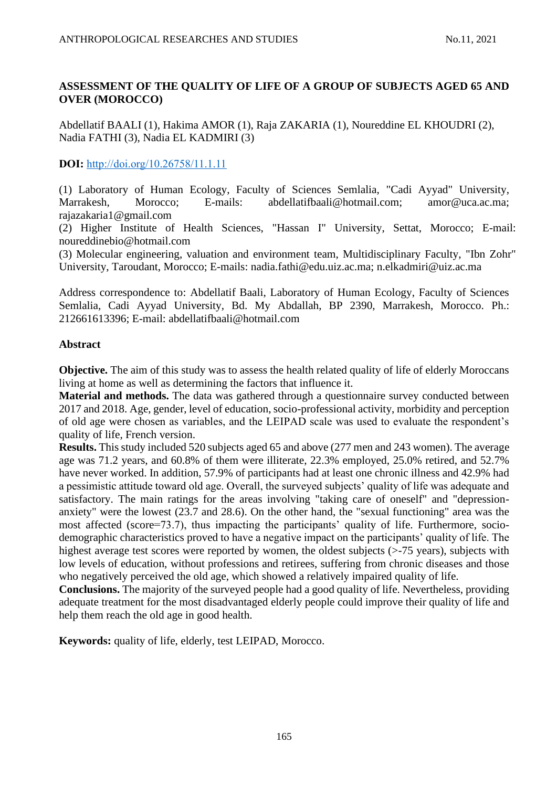# **ASSESSMENT OF THE QUALITY OF LIFE OF A GROUP OF SUBJECTS AGED 65 AND OVER (MOROCCO)**

Abdellatif BAALI (1), Hakima AMOR (1), Raja ZAKARIA (1), Noureddine EL KHOUDRI (2), Nadia FATHI (3), Nadia EL KADMIRI (3)

# **DOI:** [http://doi.org/10.26758/11.1.11](https://www.journalstudiesanthropology.ro/en/assessment-of-the-quality-of-life-of-a-group-of-subjects-aged-65-and-over-morocco/a169/)

(1) Laboratory of Human Ecology, Faculty of Sciences Semlalia, "Cadi Ayyad" University, Marrakesh, Morocco; E-mails: abdellatifbaali@hotmail.com; amor@uca.ac.ma; rajazakaria1@gmail.com

(2) Higher Institute of Health Sciences, "Hassan I" University, Settat, Morocco; E-mail: noureddinebio@hotmail.com

(3) Molecular engineering, valuation and environment team, Multidisciplinary Faculty, "Ibn Zohr" University, Taroudant, Morocco; E-mails: nadia.fathi@edu.uiz.ac.ma; [n.elkadmiri@uiz.ac.ma](mailto:n.elkadmiri@uiz.ac.ma)

Address correspondence to: Abdellatif Baali, Laboratory of Human Ecology, Faculty of Sciences Semlalia, Cadi Ayyad University, Bd. My Abdallah, BP 2390, Marrakesh, Morocco. Ph.: 212661613396; E-mail: abdellatifbaali@hotmail.com

# **Abstract**

**Objective.** The aim of this study was to assess the health related quality of life of elderly Moroccans living at home as well as determining the factors that influence it.

**Material and methods.** The data was gathered through a questionnaire survey conducted between 2017 and 2018. Age, gender, level of education, socio-professional activity, morbidity and perception of old age were chosen as variables, and the LEIPAD scale was used to evaluate the respondent's quality of life, French version.

**Results.** This study included 520 subjects aged 65 and above (277 men and 243 women). The average age was 71.2 years, and 60.8% of them were illiterate, 22.3% employed, 25.0% retired, and 52.7% have never worked. In addition, 57.9% of participants had at least one chronic illness and 42.9% had a pessimistic attitude toward old age. Overall, the surveyed subjects' quality of life was adequate and satisfactory. The main ratings for the areas involving "taking care of oneself" and "depressionanxiety" were the lowest (23.7 and 28.6). On the other hand, the "sexual functioning" area was the most affected (score=73.7), thus impacting the participants' quality of life. Furthermore, sociodemographic characteristics proved to have a negative impact on the participants' quality of life. The highest average test scores were reported by women, the oldest subjects (>-75 years), subjects with low levels of education, without professions and retirees, suffering from chronic diseases and those who negatively perceived the old age, which showed a relatively impaired quality of life.

**Conclusions.** The majority of the surveyed people had a good quality of life. Nevertheless, providing adequate treatment for the most disadvantaged elderly people could improve their quality of life and help them reach the old age in good health.

**Keywords:** quality of life, elderly, test LEIPAD, Morocco.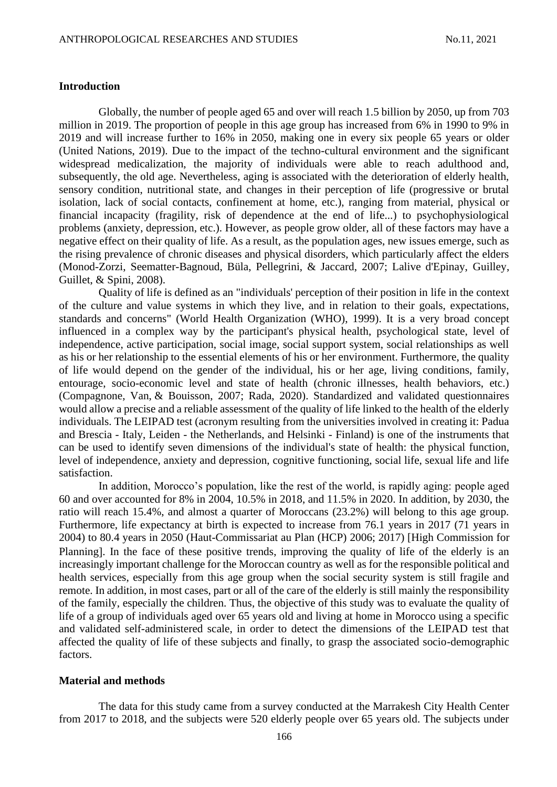### **Introduction**

Globally, the number of people aged 65 and over will reach 1.5 billion by 2050, up from 703 million in 2019. The proportion of people in this age group has increased from 6% in 1990 to 9% in 2019 and will increase further to 16% in 2050, making one in every six people 65 years or older (United Nations, 2019). Due to the impact of the techno-cultural environment and the significant widespread medicalization, the majority of individuals were able to reach adulthood and, subsequently, the old age. Nevertheless, aging is associated with the deterioration of elderly health, sensory condition, nutritional state, and changes in their perception of life (progressive or brutal isolation, lack of social contacts, confinement at home, etc.), ranging from material, physical or financial incapacity (fragility, risk of dependence at the end of life...) to psychophysiological problems (anxiety, depression, etc.). However, as people grow older, all of these factors may have a negative effect on their quality of life. As a result, as the population ages, new issues emerge, such as the rising prevalence of chronic diseases and physical disorders, which particularly affect the elders (Monod-Zorzi, Seematter-Bagnoud, Büla, Pellegrini, & Jaccard, 2007; Lalive d'Epinay, Guilley, Guillet, & Spini, 2008).

Quality of life is defined as an "individuals' perception of their position in life in the context of the culture and value systems in which they live, and in relation to their goals, expectations, standards and concerns" (World Health Organization (WHO), 1999). It is a very broad concept influenced in a complex way by the participant's physical health, psychological state, level of independence, active participation, social image, social support system, social relationships as well as his or her relationship to the essential elements of his or her environment. Furthermore, the quality of life would depend on the gender of the individual, his or her age, living conditions, family, entourage, socio-economic level and state of health (chronic illnesses, health behaviors, etc.) (Compagnone, Van, & Bouisson, 2007; Rada, 2020). Standardized and validated questionnaires would allow a precise and a reliable assessment of the quality of life linked to the health of the elderly individuals. The LEIPAD test (acronym resulting from the universities involved in creating it: Padua and Brescia - Italy, Leiden - the Netherlands, and Helsinki - Finland) is one of the instruments that can be used to identify seven dimensions of the individual's state of health: the physical function, level of independence, anxiety and depression, cognitive functioning, social life, sexual life and life satisfaction.

In addition, Morocco's population, like the rest of the world, is rapidly aging: people aged 60 and over accounted for 8% in 2004, 10.5% in 2018, and 11.5% in 2020. In addition, by 2030, the ratio will reach 15.4%, and almost a quarter of Moroccans (23.2%) will belong to this age group. Furthermore, life expectancy at birth is expected to increase from 76.1 years in 2017 (71 years in 2004) to 80.4 years in 2050 (Haut-Commissariat au Plan (HCP) 2006; 2017) [High Commission for Planning. In the face of these positive trends, improving the quality of life of the elderly is an increasingly important challenge for the Moroccan country as well as for the responsible political and health services, especially from this age group when the social security system is still fragile and remote. In addition, in most cases, part or all of the care of the elderly is still mainly the responsibility of the family, especially the children. Thus, the objective of this study was to evaluate the quality of life of a group of individuals aged over 65 years old and living at home in Morocco using a specific and validated self-administered scale, in order to detect the dimensions of the LEIPAD test that affected the quality of life of these subjects and finally, to grasp the associated socio-demographic factors.

### **Material and methods**

The data for this study came from a survey conducted at the Marrakesh City Health Center from 2017 to 2018, and the subjects were 520 elderly people over 65 years old. The subjects under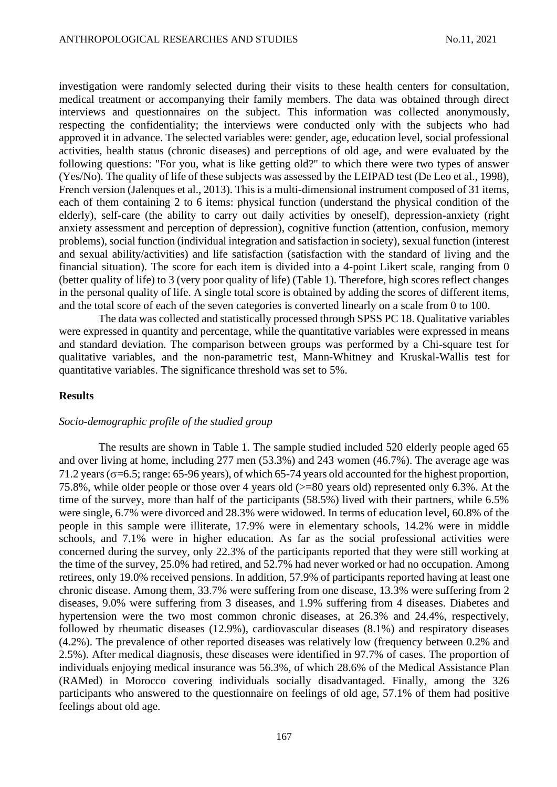investigation were randomly selected during their visits to these health centers for consultation, medical treatment or accompanying their family members. The data was obtained through direct interviews and questionnaires on the subject. This information was collected anonymously, respecting the confidentiality; the interviews were conducted only with the subjects who had approved it in advance. The selected variables were: gender, age, education level, social professional activities, health status (chronic diseases) and perceptions of old age, and were evaluated by the following questions: "For you, what is like getting old?" to which there were two types of answer (Yes/No). The quality of life of these subjects was assessed by the LEIPAD test (De Leo et al., 1998), French version (Jalenques et al., 2013). This is a multi-dimensional instrument composed of 31 items, each of them containing 2 to 6 items: physical function (understand the physical condition of the elderly), self-care (the ability to carry out daily activities by oneself), depression-anxiety (right anxiety assessment and perception of depression), cognitive function (attention, confusion, memory problems), social function (individual integration and satisfaction in society), sexual function (interest and sexual ability/activities) and life satisfaction (satisfaction with the standard of living and the financial situation). The score for each item is divided into a 4-point Likert scale, ranging from 0 (better quality of life) to 3 (very poor quality of life) (Table 1). Therefore, high scores reflect changes in the personal quality of life. A single total score is obtained by adding the scores of different items, and the total score of each of the seven categories is converted linearly on a scale from 0 to 100.

The data was collected and statistically processed through SPSS PC 18. Qualitative variables were expressed in quantity and percentage, while the quantitative variables were expressed in means and standard deviation. The comparison between groups was performed by a Chi-square test for qualitative variables, and the non-parametric test, Mann-Whitney and Kruskal-Wallis test for quantitative variables. The significance threshold was set to 5%.

#### **Results**

#### *Socio-demographic profile of the studied group*

The results are shown in Table 1. The sample studied included 520 elderly people aged 65 and over living at home, including 277 men (53.3%) and 243 women (46.7%). The average age was 71.2 years ( $\sigma$ =6.5; range: 65-96 years), of which 65-74 years old accounted for the highest proportion, 75.8%, while older people or those over 4 years old (>=80 years old) represented only 6.3%. At the time of the survey, more than half of the participants (58.5%) lived with their partners, while 6.5% were single, 6.7% were divorced and 28.3% were widowed. In terms of education level, 60.8% of the people in this sample were illiterate, 17.9% were in elementary schools, 14.2% were in middle schools, and 7.1% were in higher education. As far as the social professional activities were concerned during the survey, only 22.3% of the participants reported that they were still working at the time of the survey, 25.0% had retired, and 52.7% had never worked or had no occupation. Among retirees, only 19.0% received pensions. In addition, 57.9% of participants reported having at least one chronic disease. Among them, 33.7% were suffering from one disease, 13.3% were suffering from 2 diseases, 9.0% were suffering from 3 diseases, and 1.9% suffering from 4 diseases. Diabetes and hypertension were the two most common chronic diseases, at 26.3% and 24.4%, respectively, followed by rheumatic diseases (12.9%), cardiovascular diseases (8.1%) and respiratory diseases (4.2%). The prevalence of other reported diseases was relatively low (frequency between 0.2% and 2.5%). After medical diagnosis, these diseases were identified in 97.7% of cases. The proportion of individuals enjoying medical insurance was 56.3%, of which 28.6% of the Medical Assistance Plan (RAMed) in Morocco covering individuals socially disadvantaged. Finally, among the 326 participants who answered to the questionnaire on feelings of old age, 57.1% of them had positive feelings about old age.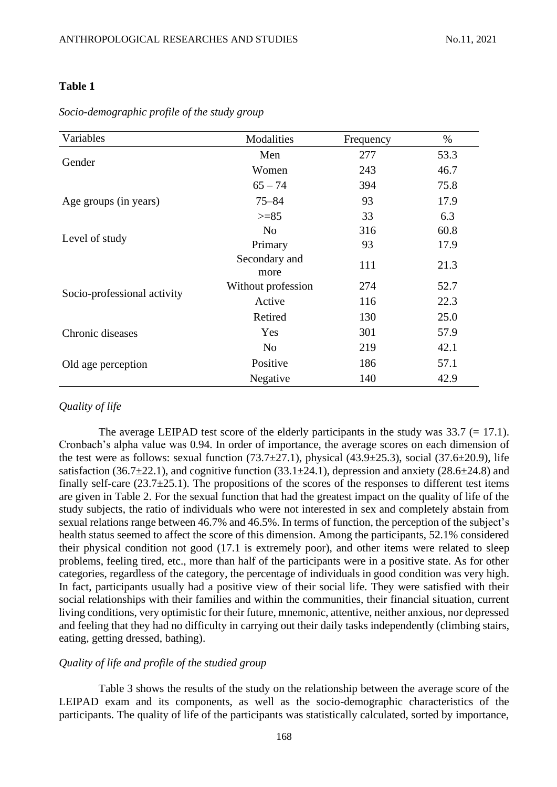### **Table 1**

| Variables                   | Modalities            | Frequency | $\%$ |
|-----------------------------|-----------------------|-----------|------|
|                             | Men                   | 277       | 53.3 |
| Gender                      | Women                 | 243       | 46.7 |
|                             | $65 - 74$             | 394       | 75.8 |
| Age groups (in years)       | $75 - 84$             | 93        | 17.9 |
|                             | $>= 85$               | 33        | 6.3  |
|                             | N <sub>o</sub>        | 316       | 60.8 |
| Level of study              | Primary               | 93        | 17.9 |
|                             | Secondary and<br>more | 111       | 21.3 |
|                             | Without profession    | 274       | 52.7 |
| Socio-professional activity | Active                | 116       | 22.3 |
|                             | Retired               | 130       | 25.0 |
| Chronic diseases            | Yes                   | 301       | 57.9 |
|                             | N <sub>o</sub>        | 219       | 42.1 |
| Old age perception          | Positive              | 186       | 57.1 |
|                             | Negative              | 140       | 42.9 |

*Socio-demographic profile of the study group*

#### *Quality of life*

The average LEIPAD test score of the elderly participants in the study was  $33.7$  (= 17.1). Cronbach's alpha value was 0.94. In order of importance, the average scores on each dimension of the test were as follows: sexual function  $(73.7\pm 27.1)$ , physical  $(43.9\pm 25.3)$ , social  $(37.6\pm 20.9)$ , life satisfaction (36.7 $\pm$ 22.1), and cognitive function (33.1 $\pm$ 24.1), depression and anxiety (28.6 $\pm$ 24.8) and finally self-care  $(23.7\pm 25.1)$ . The propositions of the scores of the responses to different test items are given in Table 2. For the sexual function that had the greatest impact on the quality of life of the study subjects, the ratio of individuals who were not interested in sex and completely abstain from sexual relations range between 46.7% and 46.5%. In terms of function, the perception of the subject's health status seemed to affect the score of this dimension. Among the participants, 52.1% considered their physical condition not good (17.1 is extremely poor), and other items were related to sleep problems, feeling tired, etc., more than half of the participants were in a positive state. As for other categories, regardless of the category, the percentage of individuals in good condition was very high. In fact, participants usually had a positive view of their social life. They were satisfied with their social relationships with their families and within the communities, their financial situation, current living conditions, very optimistic for their future, mnemonic, attentive, neither anxious, nor depressed and feeling that they had no difficulty in carrying out their daily tasks independently (climbing stairs, eating, getting dressed, bathing).

#### *Quality of life and profile of the studied group*

Table 3 shows the results of the study on the relationship between the average score of the LEIPAD exam and its components, as well as the socio-demographic characteristics of the participants. The quality of life of the participants was statistically calculated, sorted by importance,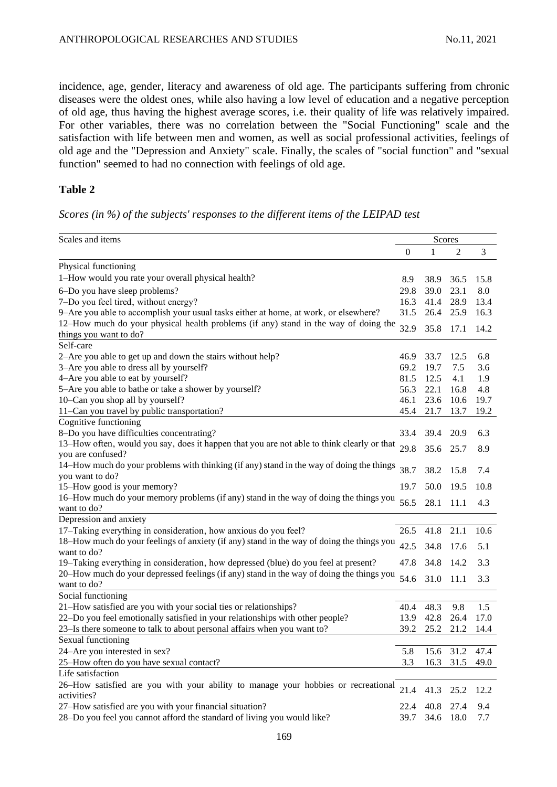incidence, age, gender, literacy and awareness of old age. The participants suffering from chronic diseases were the oldest ones, while also having a low level of education and a negative perception of old age, thus having the highest average scores, i.e. their quality of life was relatively impaired. For other variables, there was no correlation between the "Social Functioning" scale and the satisfaction with life between men and women, as well as social professional activities, feelings of old age and the "Depression and Anxiety" scale. Finally, the scales of "social function" and "sexual function" seemed to had no connection with feelings of old age.

# **Table 2**

# *Scores (in %) of the subjects' responses to the different items of the LEIPAD test*

| Scales and items                                                                                 |              |           | Scores         |      |  |  |
|--------------------------------------------------------------------------------------------------|--------------|-----------|----------------|------|--|--|
|                                                                                                  | $\mathbf{0}$ | 1         | 2              | 3    |  |  |
| Physical functioning                                                                             |              |           |                |      |  |  |
| 1-How would you rate your overall physical health?                                               | 8.9          | 38.9      | 36.5           | 15.8 |  |  |
| 6-Do you have sleep problems?                                                                    | 29.8         | 39.0      | 23.1           | 8.0  |  |  |
| 7-Do you feel tired, without energy?                                                             | 16.3         | 41.4      | 28.9           | 13.4 |  |  |
| 9-Are you able to accomplish your usual tasks either at home, at work, or elsewhere?             | 31.5         | 26.4      | 25.9           | 16.3 |  |  |
| 12–How much do your physical health problems (if any) stand in the way of doing the              |              |           |                |      |  |  |
| things you want to do?                                                                           | 32.9         | 35.8      | 17.1           | 14.2 |  |  |
| Self-care                                                                                        |              |           |                |      |  |  |
| 2-Are you able to get up and down the stairs without help?                                       | 46.9         | 33.7      | 12.5           | 6.8  |  |  |
| 3-Are you able to dress all by yourself?                                                         | 69.2         | 19.7      | 7.5            | 3.6  |  |  |
| 4-Are you able to eat by yourself?                                                               | 81.5         | 12.5      | 4.1            | 1.9  |  |  |
| 5-Are you able to bathe or take a shower by yourself?                                            | 56.3         | 22.1      | 16.8           | 4.8  |  |  |
| 10-Can you shop all by yourself?                                                                 | 46.1         | 23.6      | 10.6           | 19.7 |  |  |
| 11-Can you travel by public transportation?                                                      | 45.4         | 21.7      | 13.7           | 19.2 |  |  |
| Cognitive functioning                                                                            |              |           |                |      |  |  |
| 8-Do you have difficulties concentrating?                                                        | 33.4         | 39.4      | 20.9           | 6.3  |  |  |
| 13-How often, would you say, does it happen that you are not able to think clearly or that       | 29.8         | 35.6      | 25.7           |      |  |  |
| you are confused?                                                                                |              |           |                | 8.9  |  |  |
| 14–How much do your problems with thinking (if any) stand in the way of doing the things         | 38.7         | 38.2      | 15.8           | 7.4  |  |  |
| you want to do?                                                                                  |              |           |                |      |  |  |
| 15-How good is your memory?                                                                      | 19.7         | 50.0      | 19.5           | 10.8 |  |  |
| 16–How much do your memory problems (if any) stand in the way of doing the things you            | 56.5         | 28.1      | 11.1           | 4.3  |  |  |
| want to do?                                                                                      |              |           |                |      |  |  |
| Depression and anxiety                                                                           |              |           |                |      |  |  |
| 17-Taking everything in consideration, how anxious do you feel?                                  | 26.5         | 41.8      | 21.1           | 10.6 |  |  |
| 18–How much do your feelings of anxiety (if any) stand in the way of doing the things you        | 42.5         | 34.8      | 17.6           | 5.1  |  |  |
| want to do?                                                                                      |              |           |                |      |  |  |
| 19–Taking everything in consideration, how depressed (blue) do you feel at present?              | 47.8         | 34.8      | 14.2           | 3.3  |  |  |
| 20–How much do your depressed feelings (if any) stand in the way of doing the things you         | 54.6         | 31.0      | 11.1           | 3.3  |  |  |
| want to do?                                                                                      |              |           |                |      |  |  |
| Social functioning                                                                               |              |           | 9.8            |      |  |  |
| 21-How satisfied are you with your social ties or relationships?                                 | 40.4         | 48.3      |                | 1.5  |  |  |
| 22-Do you feel emotionally satisfied in your relationships with other people?                    | 13.9         | 42.8      | 26.4           | 17.0 |  |  |
| 23–Is there someone to talk to about personal affairs when you want to?                          | 39.2         | 25.2      | 21.2           | 14.4 |  |  |
| Sexual functioning<br>24-Are you interested in sex?                                              | 5.8          |           | 15.6 31.2 47.4 |      |  |  |
|                                                                                                  |              |           |                |      |  |  |
| 25-How often do you have sexual contact?<br>Life satisfaction                                    | 3.3          | 16.3      | 31.5           | 49.0 |  |  |
|                                                                                                  |              |           |                |      |  |  |
| 26–How satisfied are you with your ability to manage your hobbies or recreational<br>activities? | 21.4         | 41.3      | 25.2           | 12.2 |  |  |
| 27-How satisfied are you with your financial situation?                                          | 22.4         | 40.8      | 27.4           | 9.4  |  |  |
| 28-Do you feel you cannot afford the standard of living you would like?                          | 39.7         | 34.6 18.0 |                | 7.7  |  |  |
|                                                                                                  |              |           |                |      |  |  |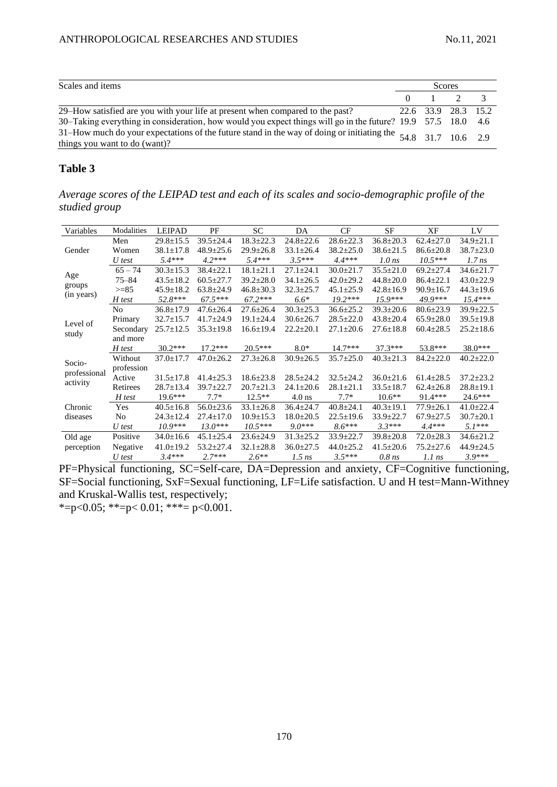| Scales and items                                                                                                                                 | Scores |               |                     |  |
|--------------------------------------------------------------------------------------------------------------------------------------------------|--------|---------------|---------------------|--|
|                                                                                                                                                  |        | $0 \t 1 \t 2$ |                     |  |
| 29–How satisfied are you with your life at present when compared to the past?                                                                    |        |               | 22.6 33.9 28.3 15.2 |  |
| 30–Taking everything in consideration, how would you expect things will go in the future? 19.9 57.5 18.0 4.6                                     |        |               |                     |  |
| 31–How much do your expectations of the future stand in the way of doing or initiating the $54.8$ 31.7 10.6 2.9<br>things you want to do (want)? |        |               |                     |  |

### **Table 3**

*Average scores of the LEIPAD test and each of its scales and socio-demographic profile of the studied group*

| Variables     | Modalities     | <b>LEIPAD</b>   | PF              | SC              | DA              | CF              | SF              | XF              | LV              |
|---------------|----------------|-----------------|-----------------|-----------------|-----------------|-----------------|-----------------|-----------------|-----------------|
| Gender        | Men            | $29.8 \pm 15.5$ | $39.5 \pm 24.4$ | $18.3 \pm 22.3$ | $24.8 \pm 22.6$ | $28.6 \pm 22.3$ | $36.8 \pm 20.3$ | $62.4 \pm 27.0$ | $34.9 \pm 21.1$ |
|               | Women          | $38.1 \pm 17.8$ | $48.9 \pm 25.6$ | $29.9 \pm 26.8$ | $33.1 \pm 26.4$ | $38.2 \pm 25.0$ | $38.6 \pm 21.5$ | $86.6 \pm 20.8$ | $38.7 \pm 23.0$ |
|               | U test         | $5.4***$        | $4.2***$        | $5.4***$        | $3.5***$        | $4.4***$        | $1.0$ ns        | $10.5***$       | $1.7$ ns        |
| Age<br>groups | $65 - 74$      | $30.3 \pm 15.3$ | $38.4 \pm 22.1$ | $18.1 \pm 21.1$ | $27.1 \pm 24.1$ | $30.0 \pm 21.7$ | $35.5 \pm 21.0$ | $69.2 \pm 27.4$ | $34.6 \pm 21.7$ |
|               | $75 - 84$      | $43.5 \pm 18.2$ | $60.5 \pm 27.7$ | $39.2 \pm 28.0$ | $34.1 \pm 26.5$ | $42.0 \pm 29.2$ | $44.8 \pm 20.0$ | $86.4 \pm 22.1$ | $43.0 \pm 22.9$ |
|               | $>= 85$        | $45.9 \pm 18.2$ | $63.8 \pm 24.9$ | $46.8 \pm 30.3$ | $32.3 \pm 25.7$ | $45.1 \pm 25.9$ | $42.8 \pm 16.9$ | $90.9 \pm 16.7$ | $44.3 \pm 19.6$ |
| (in years)    | H test         | 52.8***         | $67.5***$       | $67.2***$       | $6.6*$          | $19.2***$       | $15.9***$       | 49.9***         | $15.4***$       |
|               | No             | $36.8 \pm 17.9$ | $47.6 \pm 26.4$ | $27.6 \pm 26.4$ | $30.3 \pm 25.3$ | $36.6 \pm 25.2$ | $39.3 \pm 20.6$ | $80.6 \pm 23.9$ | $39.9 \pm 22.5$ |
| Level of      | Primary        | $32.7 \pm 15.7$ | $41.7 \pm 24.9$ | $19.1 \pm 24.4$ | $30.6 \pm 26.7$ | $28.5 \pm 22.0$ | $43.8 \pm 20.4$ | $65.9 \pm 28.0$ | $39.5 \pm 19.8$ |
|               | Secondary      | $25.7 \pm 12.5$ | $35.3 \pm 19.8$ | $16.6 \pm 19.4$ | $22.2 \pm 20.1$ | $27.1 \pm 20.6$ | $27.6 \pm 18.8$ | $60.4 \pm 28.5$ | $25.2 \pm 18.6$ |
| study         | and more       |                 |                 |                 |                 |                 |                 |                 |                 |
|               | H test         | $30.2***$       | $17.2***$       | $20.5***$       | $8.0*$          | $14.7***$       | $37.3***$       | 53.8***         | $38.0***$       |
| Socio-        | Without        | $37.0 \pm 17.7$ | $47.0 \pm 26.2$ | $27.3 \pm 26.8$ | $30.9 \pm 26.5$ | $35.7 \pm 25.0$ | $40.3 \pm 21.3$ | $84.2 \pm 22.0$ | $40.2 \pm 22.0$ |
|               | profession     |                 |                 |                 |                 |                 |                 |                 |                 |
| professional  | Active         | $31.5 \pm 17.8$ | $41.4 \pm 25.3$ | $18.6 \pm 23.8$ | $28.5 \pm 24.2$ | $32.5 \pm 24.2$ | $36.0 \pm 21.6$ | $61.4 \pm 28.5$ | $37.2 \pm 23.2$ |
| activity      | Retirees       | $28.7 \pm 13.4$ | $39.7 \pm 22.7$ | $20.7 \pm 21.3$ | $24.1 \pm 20.6$ | $28.1 \pm 21.1$ | $33.5 \pm 18.7$ | $62.4 \pm 26.8$ | $28.8 \pm 19.1$ |
|               | H test         | $19.6***$       | $7.7*$          | $12.5**$        | $4.0$ ns        | $7.7*$          | $10.6**$        | 91.4***         | 24.6***         |
| Chronic       | Yes            | $40.5 \pm 16.8$ | $56.0 \pm 23.6$ | $33.1 \pm 26.8$ | $36.4 \pm 24.7$ | $40.8 \pm 24.1$ | $40.3 \pm 19.1$ | $77.9 \pm 26.1$ | $41.0 \pm 22.4$ |
| diseases      | N <sub>0</sub> | $24.3 \pm 12.4$ | $27.4 \pm 17.0$ | $10.9 \pm 15.3$ | $18.0 \pm 20.5$ | $22.5 \pm 19.6$ | $33.9 \pm 22.7$ | $67.9 \pm 27.5$ | $30.7 \pm 20.1$ |
|               | U test         | $10.9***$       | $13.0***$       | $10.5***$       | $9.0***$        | $8.6***$        | $3.3***$        | $4.4***$        | $5.1***$        |
| Old age       | Positive       | $34.0 \pm 16.6$ | $45.1 \pm 25.4$ | $23.6 \pm 24.9$ | $31.3 \pm 25.2$ | $33.9 \pm 22.7$ | $39.8 \pm 20.8$ | $72.0 \pm 28.3$ | $34.6 \pm 21.2$ |
| perception    | Negative       | $41.0 \pm 19.2$ | $53.2 \pm 27.4$ | $32.1 \pm 28.8$ | $36.0 \pm 27.5$ | $44.0 \pm 25.2$ | $41.5 \pm 20.6$ | $75.2 \pm 27.6$ | $44.9 \pm 24.5$ |
|               | U test         | $3.4***$        | $2.7***$        | $2.6**$         | $1.5$ ns        | $3.5***$        | $0.8$ ns        | $1.1$ ns        | $3.9***$        |

PF=Physical functioning, SC=Self-care, DA=Depression and anxiety, CF=Cognitive functioning, SF=Social functioning, SxF=Sexual functioning, LF=Life satisfaction. U and H test=Mann-Withney and Kruskal-Wallis test, respectively;

\*=p<0.05; \*\*=p<0.01; \*\*\*= p<0.001.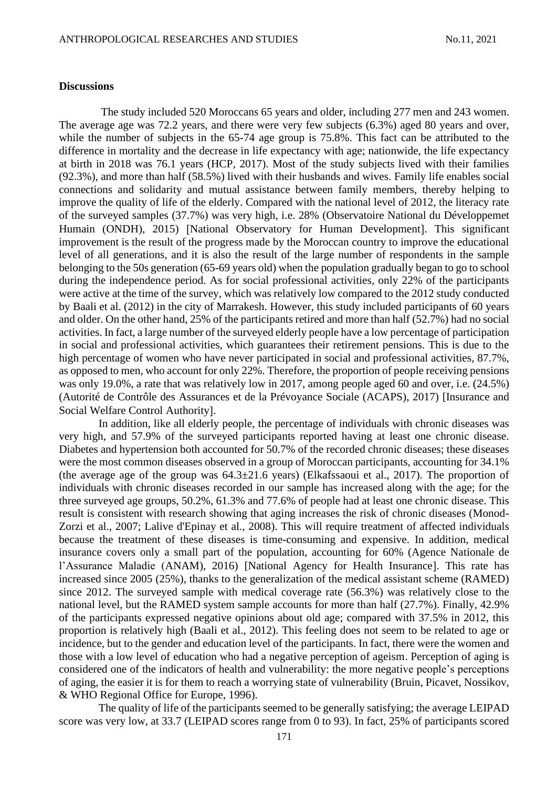#### **Discussions**

The study included 520 Moroccans 65 years and older, including 277 men and 243 women. The average age was 72.2 years, and there were very few subjects (6.3%) aged 80 years and over, while the number of subjects in the 65-74 age group is 75.8%. This fact can be attributed to the difference in mortality and the decrease in life expectancy with age; nationwide, the life expectancy at birth in 2018 was 76.1 years (HCP, 2017). Most of the study subjects lived with their families (92.3%), and more than half (58.5%) lived with their husbands and wives. Family life enables social connections and solidarity and mutual assistance between family members, thereby helping to improve the quality of life of the elderly. Compared with the national level of 2012, the literacy rate of the surveyed samples (37.7%) was very high, i.e. 28% (Observatoire National du Développemet Humain (ONDH), 2015) [National Observatory for Human Development]. This significant improvement is the result of the progress made by the Moroccan country to improve the educational level of all generations, and it is also the result of the large number of respondents in the sample belonging to the 50s generation (65-69 years old) when the population gradually began to go to school during the independence period. As for social professional activities, only 22% of the participants were active at the time of the survey, which was relatively low compared to the 2012 study conducted by Baali et al. (2012) in the city of Marrakesh. However, this study included participants of 60 years and older. On the other hand, 25% of the participants retired and more than half (52.7%) had no social activities. In fact, a large number of the surveyed elderly people have a low percentage of participation in social and professional activities, which guarantees their retirement pensions. This is due to the high percentage of women who have never participated in social and professional activities, 87.7%, as opposed to men, who account for only 22%. Therefore, the proportion of people receiving pensions was only 19.0%, a rate that was relatively low in 2017, among people aged 60 and over, i.e. (24.5%) (Autorité de Contrôle des Assurances et de la Prévoyance Sociale (ACAPS), 2017) [Insurance and Social Welfare Control Authority.

In addition, like all elderly people, the percentage of individuals with chronic diseases was very high, and 57.9% of the surveyed participants reported having at least one chronic disease. Diabetes and hypertension both accounted for 50.7% of the recorded chronic diseases; these diseases were the most common diseases observed in a group of Moroccan participants, accounting for 34.1% (the average age of the group was  $64.3\pm21.6$  years) (Elkafssaoui et al., 2017). The proportion of individuals with chronic diseases recorded in our sample has increased along with the age; for the three surveyed age groups, 50.2%, 61.3% and 77.6% of people had at least one chronic disease. This result is consistent with research showing that aging increases the risk of chronic diseases (Monod-Zorzi et al., 2007; Lalive d'Epinay et al., 2008). This will require treatment of affected individuals because the treatment of these diseases is time-consuming and expensive. In addition, medical insurance covers only a small part of the population, accounting for 60% (Agence Nationale de l'Assurance Maladie (ANAM), 2016) [National Agency for Health Insurance]. This rate has increased since 2005 (25%), thanks to the generalization of the medical assistant scheme (RAMED) since 2012. The surveyed sample with medical coverage rate (56.3%) was relatively close to the national level, but the RAMED system sample accounts for more than half (27.7%). Finally, 42.9% of the participants expressed negative opinions about old age; compared with 37.5% in 2012, this proportion is relatively high (Baali et al., 2012). This feeling does not seem to be related to age or incidence, but to the gender and education level of the participants. In fact, there were the women and those with a low level of education who had a negative perception of ageism. Perception of aging is considered one of the indicators of health and vulnerability: the more negative people's perceptions of aging, the easier it is for them to reach a worrying state of vulnerability (Bruin, Picavet, Nossikov, & WHO Regional Office for Europe, 1996).

The quality of life of the participants seemed to be generally satisfying; the average LEIPAD score was very low, at 33.7 (LEIPAD scores range from 0 to 93). In fact, 25% of participants scored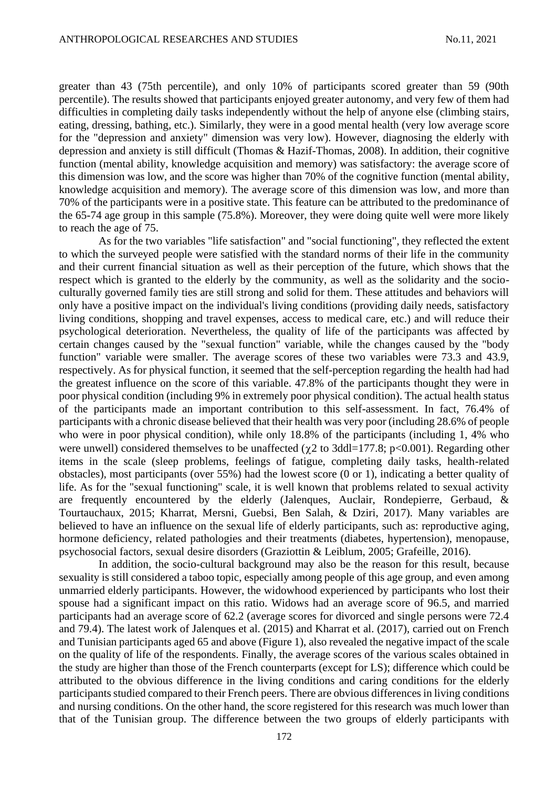greater than 43 (75th percentile), and only 10% of participants scored greater than 59 (90th percentile). The results showed that participants enjoyed greater autonomy, and very few of them had difficulties in completing daily tasks independently without the help of anyone else (climbing stairs, eating, dressing, bathing, etc.). Similarly, they were in a good mental health (very low average score for the "depression and anxiety" dimension was very low). However, diagnosing the elderly with depression and anxiety is still difficult (Thomas & Hazif-Thomas, 2008). In addition, their cognitive function (mental ability, knowledge acquisition and memory) was satisfactory: the average score of this dimension was low, and the score was higher than 70% of the cognitive function (mental ability, knowledge acquisition and memory). The average score of this dimension was low, and more than 70% of the participants were in a positive state. This feature can be attributed to the predominance of the 65-74 age group in this sample (75.8%). Moreover, they were doing quite well were more likely to reach the age of 75.

As for the two variables "life satisfaction" and "social functioning", they reflected the extent to which the surveyed people were satisfied with the standard norms of their life in the community and their current financial situation as well as their perception of the future, which shows that the respect which is granted to the elderly by the community, as well as the solidarity and the socioculturally governed family ties are still strong and solid for them. These attitudes and behaviors will only have a positive impact on the individual's living conditions (providing daily needs, satisfactory living conditions, shopping and travel expenses, access to medical care, etc.) and will reduce their psychological deterioration. Nevertheless, the quality of life of the participants was affected by certain changes caused by the "sexual function" variable, while the changes caused by the "body function" variable were smaller. The average scores of these two variables were 73.3 and 43.9, respectively. As for physical function, it seemed that the self-perception regarding the health had had the greatest influence on the score of this variable. 47.8% of the participants thought they were in poor physical condition (including 9% in extremely poor physical condition). The actual health status of the participants made an important contribution to this self-assessment. In fact, 76.4% of participants with a chronic disease believed that their health was very poor (including 28.6% of people who were in poor physical condition), while only 18.8% of the participants (including 1, 4% who were unwell) considered themselves to be unaffected ( $\gamma$ 2 to 3ddl=177.8; p<0.001). Regarding other items in the scale (sleep problems, feelings of fatigue, completing daily tasks, health-related obstacles), most participants (over 55%) had the lowest score (0 or 1), indicating a better quality of life. As for the "sexual functioning" scale, it is well known that problems related to sexual activity are frequently encountered by the elderly (Jalenques, Auclair, Rondepierre, Gerbaud, & Tourtauchaux, 2015; Kharrat, Mersni, Guebsi, Ben Salah, & Dziri, 2017). Many variables are believed to have an influence on the sexual life of elderly participants, such as: reproductive aging, hormone deficiency, related pathologies and their treatments (diabetes, hypertension), menopause, psychosocial factors, sexual desire disorders (Graziottin & Leiblum, 2005; Grafeille, 2016).

In addition, the socio-cultural background may also be the reason for this result, because sexuality is still considered a taboo topic, especially among people of this age group, and even among unmarried elderly participants. However, the widowhood experienced by participants who lost their spouse had a significant impact on this ratio. Widows had an average score of 96.5, and married participants had an average score of 62.2 (average scores for divorced and single persons were 72.4 and 79.4). The latest work of Jalenques et al. (2015) and Kharrat et al. (2017), carried out on French and Tunisian participants aged 65 and above (Figure 1), also revealed the negative impact of the scale on the quality of life of the respondents. Finally, the average scores of the various scales obtained in the study are higher than those of the French counterparts (except for LS); difference which could be attributed to the obvious difference in the living conditions and caring conditions for the elderly participants studied compared to their French peers. There are obvious differences in living conditions and nursing conditions. On the other hand, the score registered for this research was much lower than that of the Tunisian group. The difference between the two groups of elderly participants with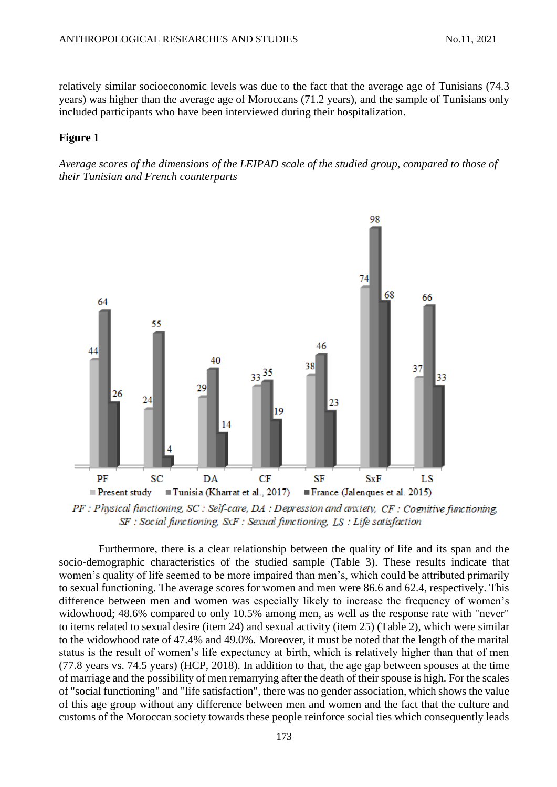relatively similar socioeconomic levels was due to the fact that the average age of Tunisians (74.3 years) was higher than the average age of Moroccans (71.2 years), and the sample of Tunisians only included participants who have been interviewed during their hospitalization.

# **Figure 1**

*Average scores of the dimensions of the LEIPAD scale of the studied group, compared to those of their Tunisian and French counterparts*



 $PF$ : Physical functioning, SC: Self-care, DA: Depression and anxiety,  $CF$ : Cognitive functioning.  $SF : Social$  functioning,  $SxF :$  Sexual functioning,  $LS : Life$  satisfaction

Furthermore, there is a clear relationship between the quality of life and its span and the socio-demographic characteristics of the studied sample (Table 3). These results indicate that women's quality of life seemed to be more impaired than men's, which could be attributed primarily to sexual functioning. The average scores for women and men were 86.6 and 62.4, respectively. This difference between men and women was especially likely to increase the frequency of women's widowhood; 48.6% compared to only 10.5% among men, as well as the response rate with "never" to items related to sexual desire (item 24) and sexual activity (item 25) (Table 2), which were similar to the widowhood rate of 47.4% and 49.0%. Moreover, it must be noted that the length of the marital status is the result of women's life expectancy at birth, which is relatively higher than that of men (77.8 years vs. 74.5 years) (HCP, 2018). In addition to that, the age gap between spouses at the time of marriage and the possibility of men remarrying after the death of their spouse is high. For the scales of "social functioning" and "life satisfaction", there was no gender association, which shows the value of this age group without any difference between men and women and the fact that the culture and customs of the Moroccan society towards these people reinforce social ties which consequently leads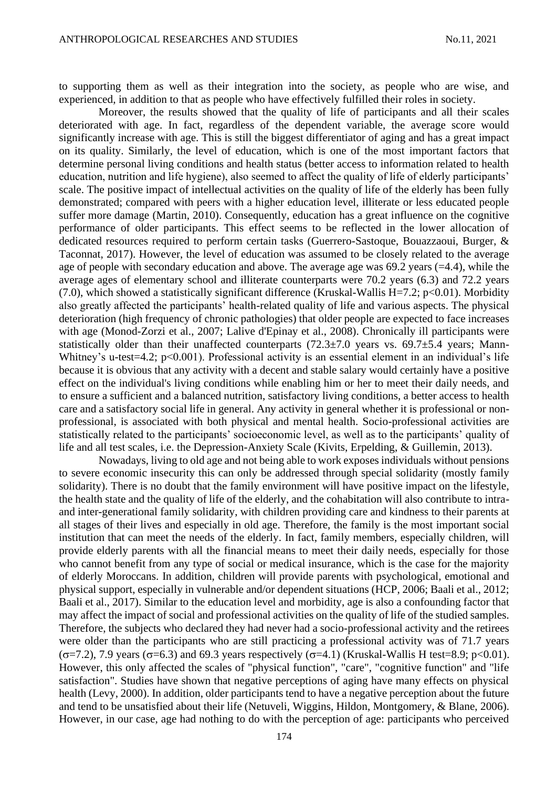to supporting them as well as their integration into the society, as people who are wise, and experienced, in addition to that as people who have effectively fulfilled their roles in society.

Moreover, the results showed that the quality of life of participants and all their scales deteriorated with age. In fact, regardless of the dependent variable, the average score would significantly increase with age. This is still the biggest differentiator of aging and has a great impact on its quality. Similarly, the level of education, which is one of the most important factors that determine personal living conditions and health status (better access to information related to health education, nutrition and life hygiene), also seemed to affect the quality of life of elderly participants' scale. The positive impact of intellectual activities on the quality of life of the elderly has been fully demonstrated; compared with peers with a higher education level, illiterate or less educated people suffer more damage (Martin, 2010). Consequently, education has a great influence on the cognitive performance of older participants. This effect seems to be reflected in the lower allocation of dedicated resources required to perform certain tasks (Guerrero-Sastoque, Bouazzaoui, Burger, & Taconnat, 2017). However, the level of education was assumed to be closely related to the average age of people with secondary education and above. The average age was 69.2 years (=4.4), while the average ages of elementary school and illiterate counterparts were 70.2 years (6.3) and 72.2 years (7.0), which showed a statistically significant difference (Kruskal-Wallis H=7.2;  $p<0.01$ ). Morbidity also greatly affected the participants' health-related quality of life and various aspects. The physical deterioration (high frequency of chronic pathologies) that older people are expected to face increases with age (Monod-Zorzi et al., 2007; Lalive d'Epinay et al., 2008). Chronically ill participants were statistically older than their unaffected counterparts  $(72.3\pm7.0$  years vs. 69.7 $\pm$ 5.4 years; Mann-Whitney's u-test=4.2; p<0.001). Professional activity is an essential element in an individual's life because it is obvious that any activity with a decent and stable salary would certainly have a positive effect on the individual's living conditions while enabling him or her to meet their daily needs, and to ensure a sufficient and a balanced nutrition, satisfactory living conditions, a better access to health care and a satisfactory social life in general. Any activity in general whether it is professional or nonprofessional, is associated with both physical and mental health. Socio-professional activities are statistically related to the participants' socioeconomic level, as well as to the participants' quality of life and all test scales, i.e. the Depression-Anxiety Scale (Kivits, Erpelding, & Guillemin, 2013).

Nowadays, living to old age and not being able to work exposes individuals without pensions to severe economic insecurity this can only be addressed through special solidarity (mostly family solidarity). There is no doubt that the family environment will have positive impact on the lifestyle, the health state and the quality of life of the elderly, and the cohabitation will also contribute to intraand inter-generational family solidarity, with children providing care and kindness to their parents at all stages of their lives and especially in old age. Therefore, the family is the most important social institution that can meet the needs of the elderly. In fact, family members, especially children, will provide elderly parents with all the financial means to meet their daily needs, especially for those who cannot benefit from any type of social or medical insurance, which is the case for the majority of elderly Moroccans. In addition, children will provide parents with psychological, emotional and physical support, especially in vulnerable and/or dependent situations (HCP, 2006; Baali et al., 2012; Baali et al., 2017). Similar to the education level and morbidity, age is also a confounding factor that may affect the impact of social and professional activities on the quality of life of the studied samples. Therefore, the subjects who declared they had never had a socio-professional activity and the retirees were older than the participants who are still practicing a professional activity was of 71.7 years  $(\sigma=7.2)$ , 7.9 years ( $\sigma=6.3$ ) and 69.3 years respectively ( $\sigma=4.1$ ) (Kruskal-Wallis H test=8.9; p<0.01). However, this only affected the scales of "physical function", "care", "cognitive function" and "life satisfaction". Studies have shown that negative perceptions of aging have many effects on physical health (Levy, 2000). In addition, older participants tend to have a negative perception about the future and tend to be unsatisfied about their life (Netuveli, Wiggins, Hildon, Montgomery, & Blane, 2006). However, in our case, age had nothing to do with the perception of age: participants who perceived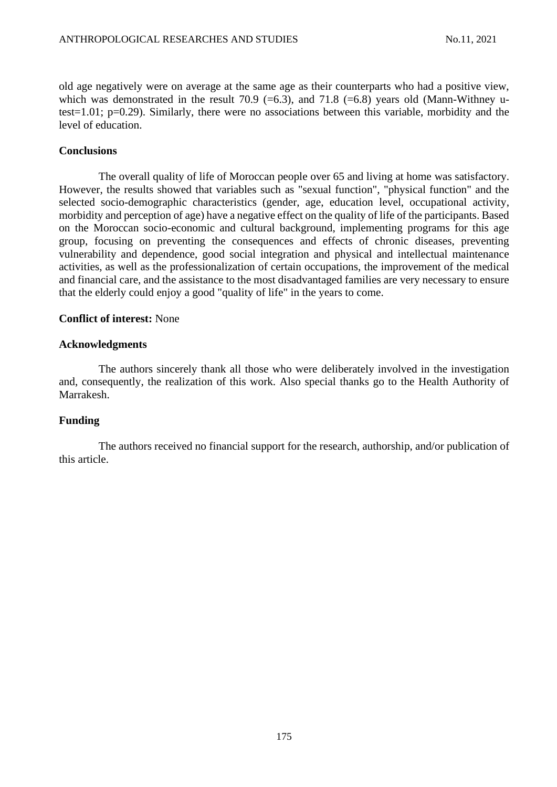old age negatively were on average at the same age as their counterparts who had a positive view, which was demonstrated in the result 70.9 (=6.3), and 71.8 (=6.8) years old (Mann-Withney utest=1.01; p=0.29). Similarly, there were no associations between this variable, morbidity and the level of education.

# **Conclusions**

The overall quality of life of Moroccan people over 65 and living at home was satisfactory. However, the results showed that variables such as "sexual function", "physical function" and the selected socio-demographic characteristics (gender, age, education level, occupational activity, morbidity and perception of age) have a negative effect on the quality of life of the participants. Based on the Moroccan socio-economic and cultural background, implementing programs for this age group, focusing on preventing the consequences and effects of chronic diseases, preventing vulnerability and dependence, good social integration and physical and intellectual maintenance activities, as well as the professionalization of certain occupations, the improvement of the medical and financial care, and the assistance to the most disadvantaged families are very necessary to ensure that the elderly could enjoy a good "quality of life" in the years to come.

# **Conflict of interest:** None

# **Acknowledgments**

The authors sincerely thank all those who were deliberately involved in the investigation and, consequently, the realization of this work. Also special thanks go to the Health Authority of Marrakesh.

# **Funding**

The authors received no financial support for the research, authorship, and/or publication of this article.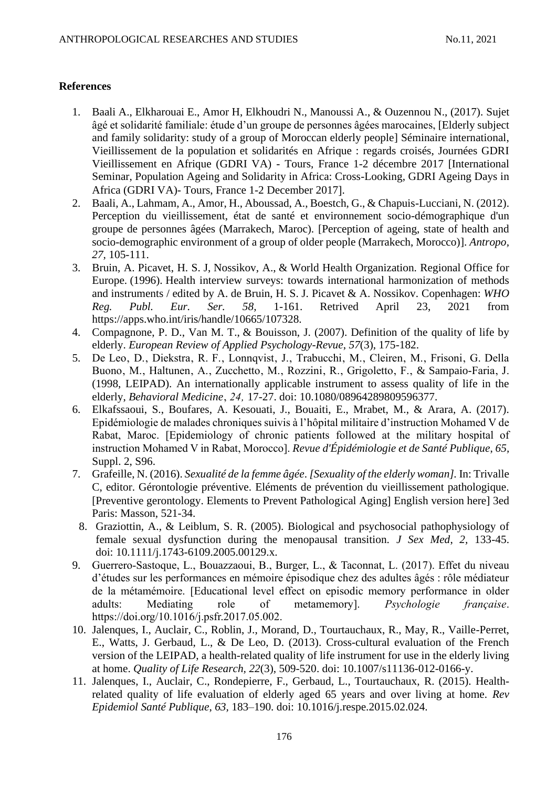# **References**

- 1. Baali A., Elkharouai E., Amor H, Elkhoudri N., Manoussi A., & Ouzennou N., (2017). Sujet âgé et solidarité familiale: étude d'un groupe de personnes âgées marocaines, [Elderly subject and family solidarity: study of a group of Moroccan elderly people] Séminaire international, Vieillissement de la population et solidarités en Afrique : regards croisés, Journées GDRI Vieillissement en Afrique (GDRI VA) - Tours, France 1-2 décembre 2017 [International Seminar, Population Ageing and Solidarity in Africa: Cross-Looking, GDRI Ageing Days in Africa (GDRI VA)- Tours, France 1-2 December 2017.
- 2. Baali, A., Lahmam, A., Amor, H., Aboussad, A., Boestch, G., & Chapuis-Lucciani, N. (2012). Perception du vieillissement, état de santé et environnement socio-démographique d'un groupe de personnes âgées (Marrakech, Maroc). [Perception of ageing, state of health and socio-demographic environment of a group of older people (Marrakech, Morocco)]. *Antropo, 27,* 105-111.
- 3. Bruin, A. Picavet, H. S. J, Nossikov, A., & World Health Organization. Regional Office for Europe. (1996). Health interview surveys: towards international harmonization of methods and instruments / edited by A. de Bruin, H. S. J. Picavet & A. Nossikov. Copenhagen: *WHO Reg. Publ. Eur. Ser. 58,* 1-161. Retrived April 23, 2021 from https://apps.who.int/iris/handle/10665/107328.
- 4. Compagnone, P. D., Van M. T., & Bouisson, J. (2007). Definition of the quality of life by elderly. *European Review of Applied Psychology-Revue*, *57*(3), 175-182.
- 5. De Leo, D., Diekstra, R. F., Lonnqvist, J., Trabucchi, M., Cleiren, M., Frisoni, G. Della Buono, M., Haltunen, A., Zucchetto, M., Rozzini, R., Grigoletto, F., & Sampaio-Faria, J. (1998, LEIPAD). An internationally applicable instrument to assess quality of life in the elderly, *Behavioral Medicine*' *24'* 17-27. doi: 10.1080/08964289809596377.
- 6. Elkafssaoui, S., Boufares, A. Kesouati, J., Bouaiti, E., Mrabet, M., & Arara, A. (2017). Epidémiologie de malades chroniques suivis à l'hôpital militaire d'instruction Mohamed V de Rabat, Maroc. [Epidemiology of chronic patients followed at the military hospital of instruction Mohamed V in Rabat, Morocco]. *Revue d'Épidémiologie et de Santé Publique*, *65,* Suppl. 2, S96.
- 7. Grafeille, N. (2016). *Sexualité de la femme âgée*. *[Sexuality of the elderly woman].* In: Trivalle C, editor. Gérontologie préventive. Eléments de prévention du vieillissement pathologique. [Preventive gerontology. Elements to Prevent Pathological Aging] English version here] 3ed Paris: Masson, 521-34.
- 8. Graziottin, A., & Leiblum, S. R. (2005). Biological and psychosocial pathophysiology of female sexual dysfunction during the menopausal transition. *J Sex Med*, *2,* 133-45. doi: 10.1111/j.1743-6109.2005.00129.x.
- 9. Guerrero-Sastoque, L., Bouazzaoui, B., Burger, L., & Taconnat, L. (2017). Effet du niveau d'études sur les performances en mémoire épisodique chez des adultes âgés : rôle médiateur de la métamémoire. [Educational level effect on episodic memory performance in older adults: Mediating role of metamemory]. *Psychologie française*. https://doi.org/10.1016/j.psfr.2017.05.002.
- 10. Jalenques, I., Auclair, C., Roblin, J., Morand, D., Tourtauchaux, R., May, R., Vaille-Perret, E., Watts, J. Gerbaud, L., & De Leo, D. (2013). Cross-cultural evaluation of the French version of the LEIPAD, a health-related quality of life instrument for use in the elderly living at home. *Quality of Life Research, 22*(3), 509-520. doi: 10.1007/s11136-012-0166-y.
- 11. Jalenques, I., Auclair, C., Rondepierre, F., Gerbaud, L., Tourtauchaux, R. (2015). Healthrelated quality of life evaluation of elderly aged 65 years and over living at home. *Rev Epidemiol Santé Publique*, *63,* 183–190. doi: 10.1016/j.respe.2015.02.024.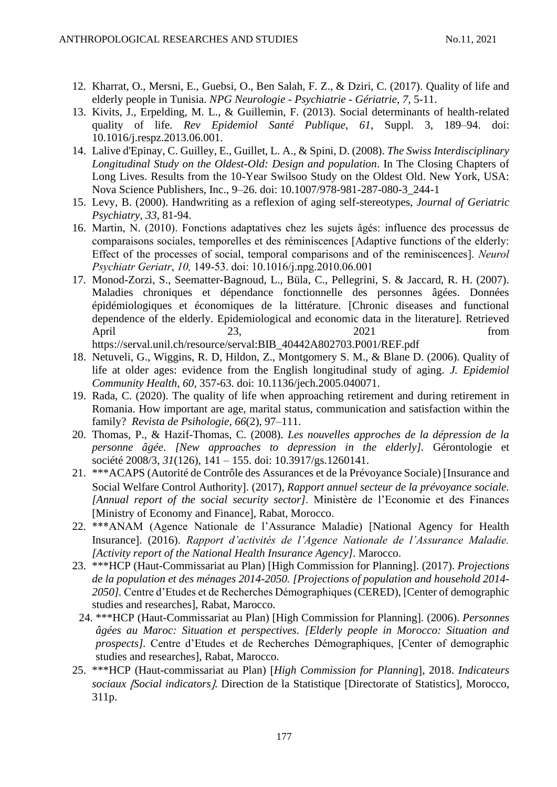- 12. Kharrat, O., Mersni, E., Guebsi, O., Ben Salah, F. Z., & Dziri, C. (2017). Quality of life and elderly people in Tunisia. *NPG Neurologie - Psychiatrie - Gériatrie*, *7,* 5-11.
- 13. Kivits, J., Erpelding, M. L., & Guillemin, F. (2013). Social determinants of health-related quality of life. *Rev Epidemiol Santé Publique*, *61,* Suppl. 3, 189–94. doi: 10.1016/j.respz.2013.06.001.
- 14. Lalive d'Epinay, C. Guilley, E., Guillet, L. A., & Spini, D. (2008). *The Swiss Interdisciplinary Longitudinal Study on the Oldest-Old: Design and population*. In The Closing Chapters of Long Lives. Results from the 10-Year Swilsoo Study on the Oldest Old. New York, USA: Nova Science Publishers, Inc., 9–26. doi: 10.1007/978-981-287-080-3\_244-1
- 15. Levy, B. (2000). Handwriting as a reflexion of aging self-stereotypes, *Journal of Geriatric Psychiatry*, *33,* 81-94.
- 16. Martin, N. (2010). Fonctions adaptatives chez les sujets âgés: influence des processus de comparaisons sociales, temporelles et des réminiscences [Adaptive functions of the elderly: Effect of the processes of social, temporal comparisons and of the reminiscences]. *Neurol Psychiatr Geriatr*, *10,* 149-53. doi: 10.1016/j.npg.2010.06.001
- 17. Monod-Zorzi, S., Seematter-Bagnoud, L., Büla, C., Pellegrini, S. & Jaccard, R. H. (2007). Maladies chroniques et dépendance fonctionnelle des personnes âgées. Données épidémiologiques et économiques de la littérature. [Chronic diseases and functional dependence of the elderly. Epidemiological and economic data in the literature]. Retrieved April 23, 2021 from https://serval.unil.ch/resource/serval:BIB\_40442A802703.P001/REF.pdf
- 18. Netuveli, G., Wiggins, R. D, Hildon, Z., Montgomery S. M., & Blane D. (2006). Quality of life at older ages: evidence from the English longitudinal study of aging. *J. Epidemiol Community Health*, *60,* 357-63. doi: 10.1136/jech.2005.040071.
- 19. Rada, C. (2020). The quality of life when approaching retirement and during retirement in Romania. How important are age, marital status, communication and satisfaction within the family? *Revista de Psihologie, 66*(2), 97–111.
- 20. Thomas, P., & Hazif-Thomas, C. (2008). *Les nouvelles approches de la dépression de la personne âgée*. *[New approaches to depression in the elderly].* Gérontologie et société 2008/3, *31*(126), 141 – 155. doi: 10.3917/gs.1260141.
- 21. \*\*\*ACAPS (Autorité de Contrôle des Assurances et de la Prévoyance Sociale) [Insurance and Social Welfare Control Authority]. (2017), *Rapport annuel secteur de la prévoyance sociale. [Annual report of the social security sector]*. Ministère de l'Economie et des Finances [Ministry of Economy and Finance], Rabat, Morocco.
- 22. \*\*\*ANAM (Agence Nationale de l'Assurance Maladie) [National Agency for Health Insurance. (2016). *Rapport d'activités de l'Agence Nationale de l'Assurance Maladie. [Activity report of the National Health Insurance Agency]*. Marocco.
- 23. \*\*\*HCP (Haut-Commissariat au Plan) [High Commission for Planning]. (2017). *Projections de la population et des ménages 2014-2050. [Projections of population and household 2014- 2050].* Centre d'Etudes et de Recherches Démographiques (CERED), [Center of demographic studies and researches], Rabat, Marocco.
- 24. \*\*\*HCP (Haut-Commissariat au Plan) [High Commission for Planning]. (2006). *Personnes âgées au Maroc: Situation et perspectives. [Elderly people in Morocco: Situation and prospects].* Centre d'Etudes et de Recherches Démographiques, [Center of demographic studies and researches], Rabat, Marocco.
- 25. \*\*\*HCP (Haut-commissariat au Plan) *High Commission for Planning*, 2018. *Indicateurs sociaux Social indicators*. Direction de la Statistique Directorate of Statistics, Morocco, 311p.